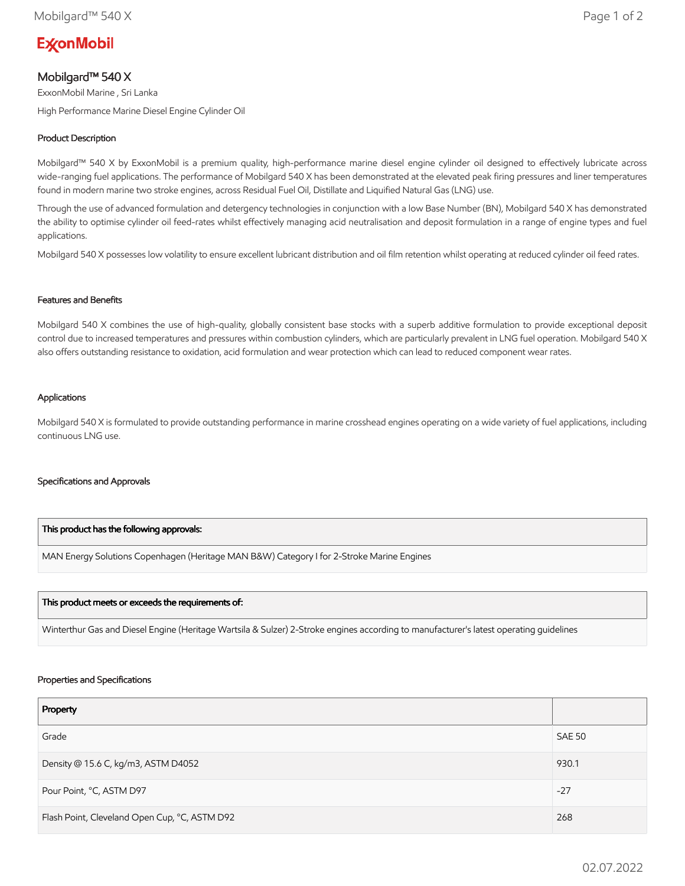# **ExconMobil**

## Mobilgard™ 540 X

ExxonMobil Marine , Sri Lanka

High Performance Marine Diesel Engine Cylinder Oil

### Product Description

Mobilgard™ 540 X by ExxonMobil is a premium quality, high-performance marine diesel engine cylinder oil designed to effectively lubricate across wide-ranging fuel applications. The performance of Mobilgard 540 X has been demonstrated at the elevated peak firing pressures and liner temperatures found in modern marine two stroke engines, across Residual Fuel Oil, Distillate and Liquified Natural Gas (LNG) use.

Through the use of advanced formulation and detergency technologies in conjunction with a low Base Number (BN), Mobilgard 540 X has demonstrated the ability to optimise cylinder oil feed-rates whilst effectively managing acid neutralisation and deposit formulation in a range of engine types and fuel applications.

Mobilgard 540 X possesses low volatility to ensure excellent lubricant distribution and oil film retention whilst operating at reduced cylinder oil feed rates.

#### Features and Benefits

Mobilgard 540 X combines the use of high-quality, globally consistent base stocks with a superb additive formulation to provide exceptional deposit control due to increased temperatures and pressures within combustion cylinders, which are particularly prevalent in LNG fuel operation. Mobilgard 540 X also offers outstanding resistance to oxidation, acid formulation and wear protection which can lead to reduced component wear rates.

#### Applications

Mobilgard 540 X is formulated to provide outstanding performance in marine crosshead engines operating on a wide variety of fuel applications, including continuous LNG use.

#### Specifications and Approvals

#### This product has the following approvals:

MAN Energy Solutions Copenhagen (Heritage MAN B&W) Category I for 2-Stroke Marine Engines

#### This product meets or exceeds the requirements of:

Winterthur Gas and Diesel Engine (Heritage Wartsila & Sulzer) 2-Stroke engines according to manufacturer's latest operating guidelines

#### Properties and Specifications

| Property                                      |               |
|-----------------------------------------------|---------------|
| Grade                                         | <b>SAE 50</b> |
| Density @ 15.6 C, kg/m3, ASTM D4052           | 930.1         |
| Pour Point, °C, ASTM D97                      | $-27$         |
| Flash Point, Cleveland Open Cup, °C, ASTM D92 | 268           |